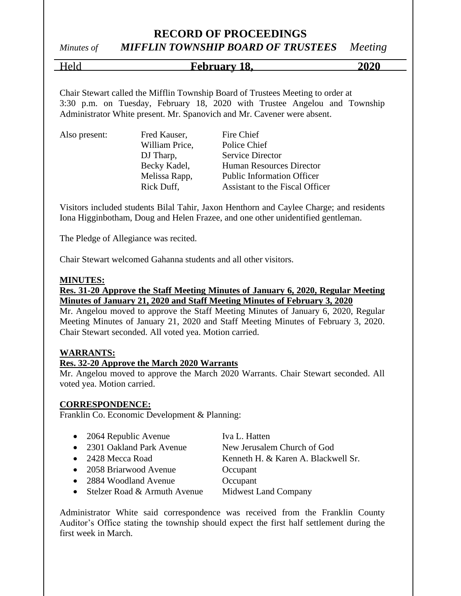# *Minutes of MIFFLIN TOWNSHIP BOARD OF TRUSTEES Meeting*

Held **February 18, 2020**

Chair Stewart called the Mifflin Township Board of Trustees Meeting to order at 3:30 p.m. on Tuesday, February 18, 2020 with Trustee Angelou and Township Administrator White present. Mr. Spanovich and Mr. Cavener were absent.

|  | Also present: |
|--|---------------|
|  |               |
|  |               |

William Price, Police Chief

Fred Kauser, Fire Chief DJ Tharp, Service Director Becky Kadel, Human Resources Director Melissa Rapp, Public Information Officer Rick Duff, Assistant to the Fiscal Officer

Visitors included students Bilal Tahir, Jaxon Henthorn and Caylee Charge; and residents Iona Higginbotham, Doug and Helen Frazee, and one other unidentified gentleman.

The Pledge of Allegiance was recited.

Chair Stewart welcomed Gahanna students and all other visitors.

#### **MINUTES:**

## **Res. 31-20 Approve the Staff Meeting Minutes of January 6, 2020, Regular Meeting Minutes of January 21, 2020 and Staff Meeting Minutes of February 3, 2020**

Mr. Angelou moved to approve the Staff Meeting Minutes of January 6, 2020, Regular Meeting Minutes of January 21, 2020 and Staff Meeting Minutes of February 3, 2020. Chair Stewart seconded. All voted yea. Motion carried.

#### **WARRANTS:**

## **Res. 32-20 Approve the March 2020 Warrants**

Mr. Angelou moved to approve the March 2020 Warrants. Chair Stewart seconded. All voted yea. Motion carried.

#### **CORRESPONDENCE:**

Franklin Co. Economic Development & Planning:

| $\bullet$ 2064 Republic Avenue   | Iva L. Hatten                       |
|----------------------------------|-------------------------------------|
| • 2301 Oakland Park Avenue       | New Jerusalem Church of God         |
| • 2428 Mecca Road                | Kenneth H. & Karen A. Blackwell Sr. |
| • 2058 Briarwood Avenue          | Occupant                            |
| • 2884 Woodland Avenue           | Occupant                            |
| • Stelzer Road $&$ Armuth Avenue | <b>Midwest Land Company</b>         |

Administrator White said correspondence was received from the Franklin County Auditor's Office stating the township should expect the first half settlement during the first week in March.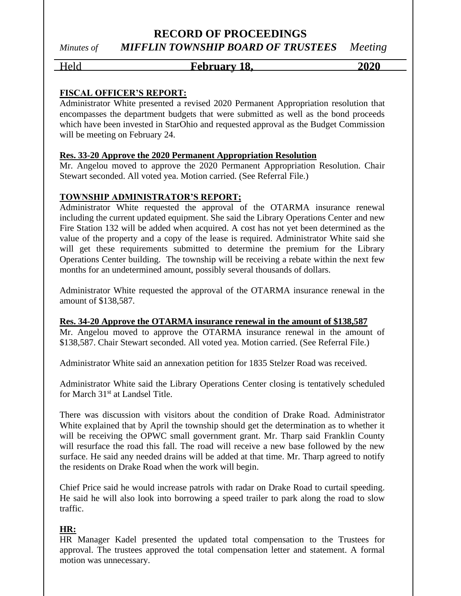## Held **February 18.** 2020

## **FISCAL OFFICER'S REPORT:**

Administrator White presented a revised 2020 Permanent Appropriation resolution that encompasses the department budgets that were submitted as well as the bond proceeds which have been invested in StarOhio and requested approval as the Budget Commission will be meeting on February 24.

#### **Res. 33-20 Approve the 2020 Permanent Appropriation Resolution**

Mr. Angelou moved to approve the 2020 Permanent Appropriation Resolution. Chair Stewart seconded. All voted yea. Motion carried. (See Referral File.)

## **TOWNSHIP ADMINISTRATOR'S REPORT;**

Administrator White requested the approval of the OTARMA insurance renewal including the current updated equipment. She said the Library Operations Center and new Fire Station 132 will be added when acquired. A cost has not yet been determined as the value of the property and a copy of the lease is required. Administrator White said she will get these requirements submitted to determine the premium for the Library Operations Center building. The township will be receiving a rebate within the next few months for an undetermined amount, possibly several thousands of dollars.

Administrator White requested the approval of the OTARMA insurance renewal in the amount of \$138,587.

#### **Res. 34-20 Approve the OTARMA insurance renewal in the amount of \$138,587**

Mr. Angelou moved to approve the OTARMA insurance renewal in the amount of \$138,587. Chair Stewart seconded. All voted yea. Motion carried. (See Referral File.)

Administrator White said an annexation petition for 1835 Stelzer Road was received.

Administrator White said the Library Operations Center closing is tentatively scheduled for March 31<sup>st</sup> at Landsel Title.

There was discussion with visitors about the condition of Drake Road. Administrator White explained that by April the township should get the determination as to whether it will be receiving the OPWC small government grant. Mr. Tharp said Franklin County will resurface the road this fall. The road will receive a new base followed by the new surface. He said any needed drains will be added at that time. Mr. Tharp agreed to notify the residents on Drake Road when the work will begin.

Chief Price said he would increase patrols with radar on Drake Road to curtail speeding. He said he will also look into borrowing a speed trailer to park along the road to slow traffic.

#### **HR:**

HR Manager Kadel presented the updated total compensation to the Trustees for approval. The trustees approved the total compensation letter and statement. A formal motion was unnecessary.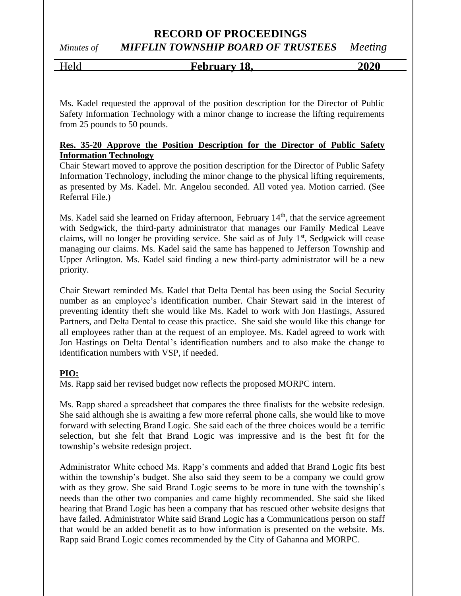# Held **February 18, 2020**

Ms. Kadel requested the approval of the position description for the Director of Public Safety Information Technology with a minor change to increase the lifting requirements from 25 pounds to 50 pounds.

## **Res. 35-20 Approve the Position Description for the Director of Public Safety Information Technology**

Chair Stewart moved to approve the position description for the Director of Public Safety Information Technology, including the minor change to the physical lifting requirements, as presented by Ms. Kadel. Mr. Angelou seconded. All voted yea. Motion carried. (See Referral File.)

Ms. Kadel said she learned on Friday afternoon, February 14<sup>th</sup>, that the service agreement with Sedgwick, the third-party administrator that manages our Family Medical Leave claims, will no longer be providing service. She said as of July 1<sup>st</sup>, Sedgwick will cease managing our claims. Ms. Kadel said the same has happened to Jefferson Township and Upper Arlington. Ms. Kadel said finding a new third-party administrator will be a new priority.

Chair Stewart reminded Ms. Kadel that Delta Dental has been using the Social Security number as an employee's identification number. Chair Stewart said in the interest of preventing identity theft she would like Ms. Kadel to work with Jon Hastings, Assured Partners, and Delta Dental to cease this practice. She said she would like this change for all employees rather than at the request of an employee. Ms. Kadel agreed to work with Jon Hastings on Delta Dental's identification numbers and to also make the change to identification numbers with VSP, if needed.

## **PIO:**

Ms. Rapp said her revised budget now reflects the proposed MORPC intern.

Ms. Rapp shared a spreadsheet that compares the three finalists for the website redesign. She said although she is awaiting a few more referral phone calls, she would like to move forward with selecting Brand Logic. She said each of the three choices would be a terrific selection, but she felt that Brand Logic was impressive and is the best fit for the township's website redesign project.

Administrator White echoed Ms. Rapp's comments and added that Brand Logic fits best within the township's budget. She also said they seem to be a company we could grow with as they grow. She said Brand Logic seems to be more in tune with the township's needs than the other two companies and came highly recommended. She said she liked hearing that Brand Logic has been a company that has rescued other website designs that have failed. Administrator White said Brand Logic has a Communications person on staff that would be an added benefit as to how information is presented on the website. Ms. Rapp said Brand Logic comes recommended by the City of Gahanna and MORPC.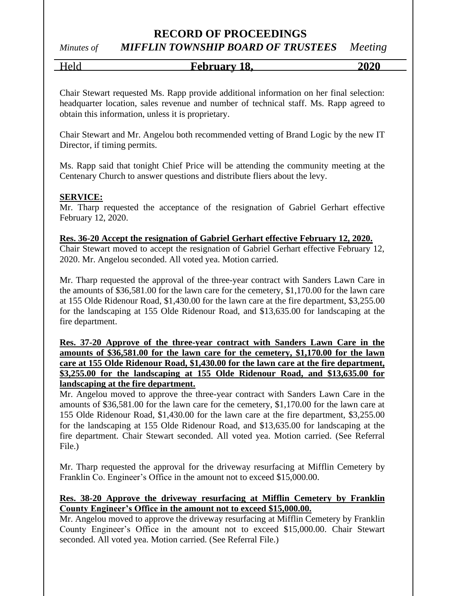## *Minutes of MIFFLIN TOWNSHIP BOARD OF TRUSTEES Meeting*

Held **February 18, 2020**

Chair Stewart requested Ms. Rapp provide additional information on her final selection: headquarter location, sales revenue and number of technical staff. Ms. Rapp agreed to obtain this information, unless it is proprietary.

Chair Stewart and Mr. Angelou both recommended vetting of Brand Logic by the new IT Director, if timing permits.

Ms. Rapp said that tonight Chief Price will be attending the community meeting at the Centenary Church to answer questions and distribute fliers about the levy.

## **SERVICE:**

Mr. Tharp requested the acceptance of the resignation of Gabriel Gerhart effective February 12, 2020.

#### **Res. 36-20 Accept the resignation of Gabriel Gerhart effective February 12, 2020.**

Chair Stewart moved to accept the resignation of Gabriel Gerhart effective February 12, 2020. Mr. Angelou seconded. All voted yea. Motion carried.

Mr. Tharp requested the approval of the three-year contract with Sanders Lawn Care in the amounts of \$36,581.00 for the lawn care for the cemetery, \$1,170.00 for the lawn care at 155 Olde Ridenour Road, \$1,430.00 for the lawn care at the fire department, \$3,255.00 for the landscaping at 155 Olde Ridenour Road, and \$13,635.00 for landscaping at the fire department.

## **Res. 37-20 Approve of the three-year contract with Sanders Lawn Care in the amounts of \$36,581.00 for the lawn care for the cemetery, \$1,170.00 for the lawn care at 155 Olde Ridenour Road, \$1,430.00 for the lawn care at the fire department, \$3,255.00 for the landscaping at 155 Olde Ridenour Road, and \$13,635.00 for landscaping at the fire department.**

Mr. Angelou moved to approve the three-year contract with Sanders Lawn Care in the amounts of \$36,581.00 for the lawn care for the cemetery, \$1,170.00 for the lawn care at 155 Olde Ridenour Road, \$1,430.00 for the lawn care at the fire department, \$3,255.00 for the landscaping at 155 Olde Ridenour Road, and \$13,635.00 for landscaping at the fire department. Chair Stewart seconded. All voted yea. Motion carried. (See Referral File.)

Mr. Tharp requested the approval for the driveway resurfacing at Mifflin Cemetery by Franklin Co. Engineer's Office in the amount not to exceed \$15,000.00.

## **Res. 38-20 Approve the driveway resurfacing at Mifflin Cemetery by Franklin County Engineer's Office in the amount not to exceed \$15,000.00.**

Mr. Angelou moved to approve the driveway resurfacing at Mifflin Cemetery by Franklin County Engineer's Office in the amount not to exceed \$15,000.00. Chair Stewart seconded. All voted yea. Motion carried. (See Referral File.)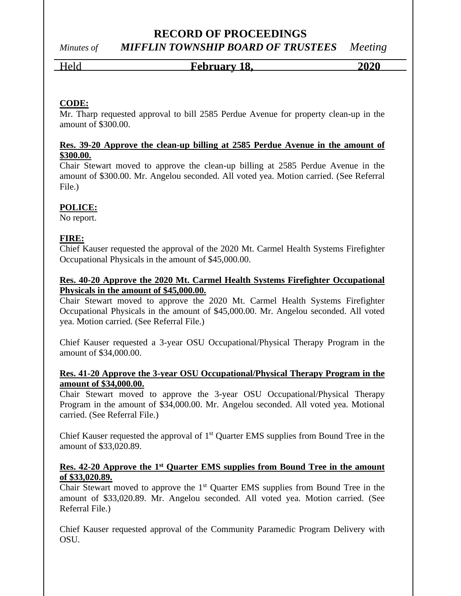# *Minutes of MIFFLIN TOWNSHIP BOARD OF TRUSTEES Meeting*

## Held **February 18, 2020**

**CODE:**

Mr. Tharp requested approval to bill 2585 Perdue Avenue for property clean-up in the amount of \$300.00.

## **Res. 39-20 Approve the clean-up billing at 2585 Perdue Avenue in the amount of \$300.00.**

Chair Stewart moved to approve the clean-up billing at 2585 Perdue Avenue in the amount of \$300.00. Mr. Angelou seconded. All voted yea. Motion carried. (See Referral File.)

## **POLICE:**

No report.

## **FIRE:**

Chief Kauser requested the approval of the 2020 Mt. Carmel Health Systems Firefighter Occupational Physicals in the amount of \$45,000.00.

## **Res. 40-20 Approve the 2020 Mt. Carmel Health Systems Firefighter Occupational Physicals in the amount of \$45,000.00.**

Chair Stewart moved to approve the 2020 Mt. Carmel Health Systems Firefighter Occupational Physicals in the amount of \$45,000.00. Mr. Angelou seconded. All voted yea. Motion carried. (See Referral File.)

Chief Kauser requested a 3-year OSU Occupational/Physical Therapy Program in the amount of \$34,000.00.

## **Res. 41-20 Approve the 3-year OSU Occupational/Physical Therapy Program in the amount of \$34,000.00.**

Chair Stewart moved to approve the 3-year OSU Occupational/Physical Therapy Program in the amount of \$34,000.00. Mr. Angelou seconded. All voted yea. Motional carried. (See Referral File.)

Chief Kauser requested the approval of  $1<sup>st</sup>$  Quarter EMS supplies from Bound Tree in the amount of \$33,020.89.

## **Res. 42-20 Approve the 1st Quarter EMS supplies from Bound Tree in the amount of \$33,020.89.**

Chair Stewart moved to approve the  $1<sup>st</sup>$  Quarter EMS supplies from Bound Tree in the amount of \$33,020.89. Mr. Angelou seconded. All voted yea. Motion carried. (See Referral File.)

Chief Kauser requested approval of the Community Paramedic Program Delivery with OSU.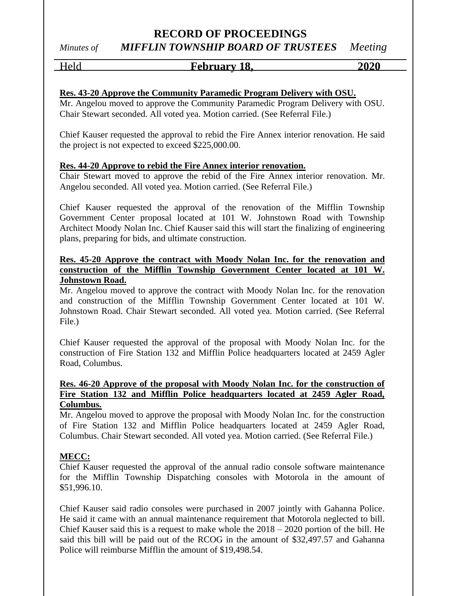## Held **February 18, 2020**

## **Res. 43-20 Approve the Community Paramedic Program Delivery with OSU.**

Mr. Angelou moved to approve the Community Paramedic Program Delivery with OSU. Chair Stewart seconded. All voted yea. Motion carried. (See Referral File.)

Chief Kauser requested the approval to rebid the Fire Annex interior renovation. He said the project is not expected to exceed \$225,000.00.

#### **Res. 44-20 Approve to rebid the Fire Annex interior renovation.**

Chair Stewart moved to approve the rebid of the Fire Annex interior renovation. Mr. Angelou seconded. All voted yea. Motion carried. (See Referral File.)

Chief Kauser requested the approval of the renovation of the Mifflin Township Government Center proposal located at 101 W. Johnstown Road with Township Architect Moody Nolan Inc. Chief Kauser said this will start the finalizing of engineering plans, preparing for bids, and ultimate construction.

## **Res. 45-20 Approve the contract with Moody Nolan Inc. for the renovation and construction of the Mifflin Township Government Center located at 101 W. Johnstown Road.**

Mr. Angelou moved to approve the contract with Moody Nolan Inc. for the renovation and construction of the Mifflin Township Government Center located at 101 W. Johnstown Road. Chair Stewart seconded. All voted yea. Motion carried. (See Referral File.)

Chief Kauser requested the approval of the proposal with Moody Nolan Inc. for the construction of Fire Station 132 and Mifflin Police headquarters located at 2459 Agler Road, Columbus.

## **Res. 46-20 Approve of the proposal with Moody Nolan Inc. for the construction of Fire Station 132 and Mifflin Police headquarters located at 2459 Agler Road, Columbus.**

Mr. Angelou moved to approve the proposal with Moody Nolan Inc. for the construction of Fire Station 132 and Mifflin Police headquarters located at 2459 Agler Road, Columbus. Chair Stewart seconded. All voted yea. Motion carried. (See Referral File.)

## **MECC:**

Chief Kauser requested the approval of the annual radio console software maintenance for the Mifflin Township Dispatching consoles with Motorola in the amount of \$51,996.10.

Chief Kauser said radio consoles were purchased in 2007 jointly with Gahanna Police. He said it came with an annual maintenance requirement that Motorola neglected to bill. Chief Kauser said this is a request to make whole the 2018 – 2020 portion of the bill. He said this bill will be paid out of the RCOG in the amount of \$32,497.57 and Gahanna Police will reimburse Mifflin the amount of \$19,498.54.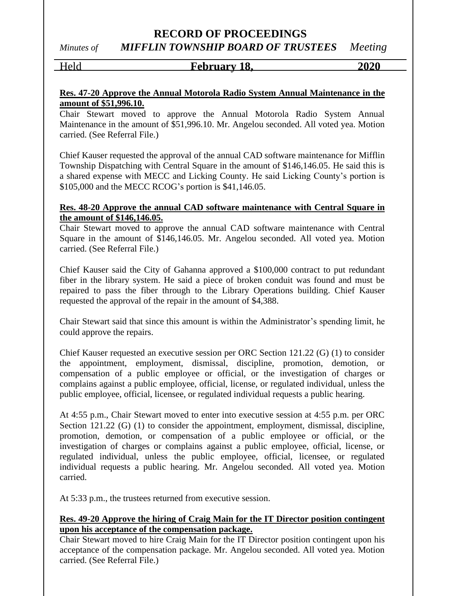*Minutes of MIFFLIN TOWNSHIP BOARD OF TRUSTEES Meeting*

# Held **February 18, 2020**

## **Res. 47-20 Approve the Annual Motorola Radio System Annual Maintenance in the amount of \$51,996.10.**

Chair Stewart moved to approve the Annual Motorola Radio System Annual Maintenance in the amount of \$51,996.10. Mr. Angelou seconded. All voted yea. Motion carried. (See Referral File.)

Chief Kauser requested the approval of the annual CAD software maintenance for Mifflin Township Dispatching with Central Square in the amount of \$146,146.05. He said this is a shared expense with MECC and Licking County. He said Licking County's portion is \$105,000 and the MECC RCOG's portion is \$41,146.05.

## **Res. 48-20 Approve the annual CAD software maintenance with Central Square in the amount of \$146,146.05.**

Chair Stewart moved to approve the annual CAD software maintenance with Central Square in the amount of \$146,146.05. Mr. Angelou seconded. All voted yea. Motion carried. (See Referral File.)

Chief Kauser said the City of Gahanna approved a \$100,000 contract to put redundant fiber in the library system. He said a piece of broken conduit was found and must be repaired to pass the fiber through to the Library Operations building. Chief Kauser requested the approval of the repair in the amount of \$4,388.

Chair Stewart said that since this amount is within the Administrator's spending limit, he could approve the repairs.

Chief Kauser requested an executive session per ORC Section 121.22 (G) (1) to consider the appointment, employment, dismissal, discipline, promotion, demotion, or compensation of a public employee or official, or the investigation of charges or complains against a public employee, official, license, or regulated individual, unless the public employee, official, licensee, or regulated individual requests a public hearing.

At 4:55 p.m., Chair Stewart moved to enter into executive session at 4:55 p.m. per ORC Section 121.22 (G) (1) to consider the appointment, employment, dismissal, discipline, promotion, demotion, or compensation of a public employee or official, or the investigation of charges or complains against a public employee, official, license, or regulated individual, unless the public employee, official, licensee, or regulated individual requests a public hearing. Mr. Angelou seconded. All voted yea. Motion carried.

At 5:33 p.m., the trustees returned from executive session.

## **Res. 49-20 Approve the hiring of Craig Main for the IT Director position contingent upon his acceptance of the compensation package.**

Chair Stewart moved to hire Craig Main for the IT Director position contingent upon his acceptance of the compensation package. Mr. Angelou seconded. All voted yea. Motion carried. (See Referral File.)